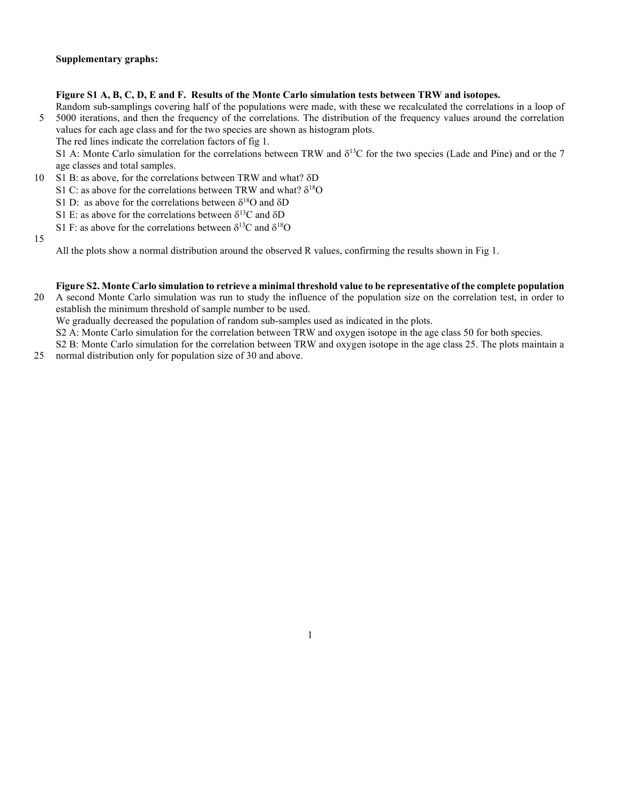## Figure S1 A, B, C, D, E and F. Results of the Monte Carlo simulation tests between TRW and isotopes.

Random sub-samplings covering half of the populations were made, with these we recalculated the correlations in a loop of 5 5000 iterations, and then the frequency of the correlations. The distribution of the frequency values around the correlation values for each age class and for the two species are shown as histogram plots.

The red lines indicate the correlation factors of fig 1.

S1 A: Monte Carlo simulation for the correlations between TRW and  $\delta^{13}C$  for the two species (Lade and Pine) and or the 7 age classes and total samples.

- 10 S1 B: as above, for the correlations between TRW and what?  $\delta D$ 
	- S1 C: as above for the correlations between TRW and what?  $\delta^{18}O$
	- S1 D: as above for the correlations between  $\delta^{18}O$  and  $\delta D$
	- S1 E: as above for the correlations between  $\delta^{13}C$  and  $\delta D$
	- S1 F: as above for the correlations between  $\delta^{13}C$  and  $\delta^{18}O$
- 15

All the plots show a normal distribution around the observed R values, confirming the results shown in Fig 1.

## Figure S2. Monte Carlo simulation to retrieve a minimal threshold value to be representative of the complete population

20 A second Monte Carlo simulation was run to study the influence of the population size on the correlation test, in order to establish the minimum threshold of sample number to be used.

We gradually decreased the population of random sub-samples used as indicated in the plots.

S2 A: Monte Carlo simulation for the correlation between TRW and oxygen isotope in the age class 50 for both species.

S2 B: Monte Carlo simulation for the correlation between TRW and oxygen isotope in the age class 25. The plots maintain a 25 normal distribution only for population size of 30 and above.

1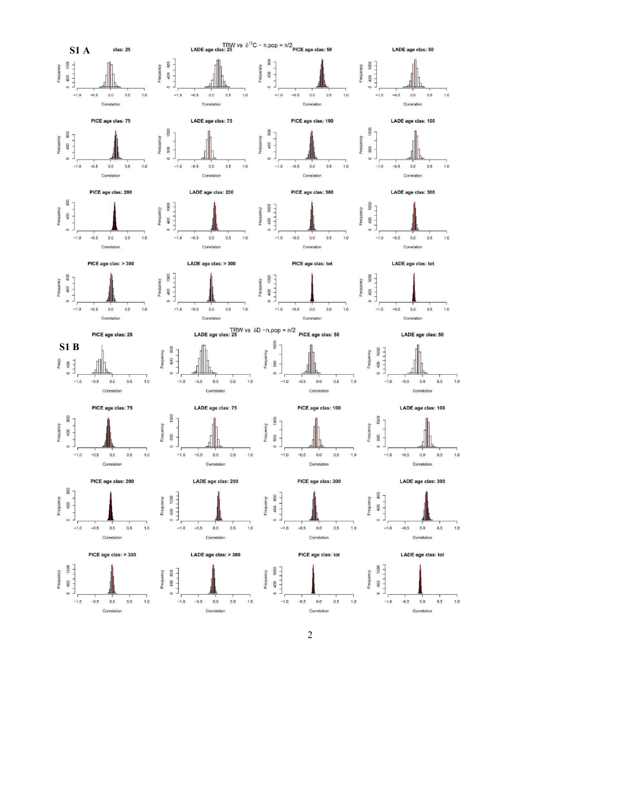

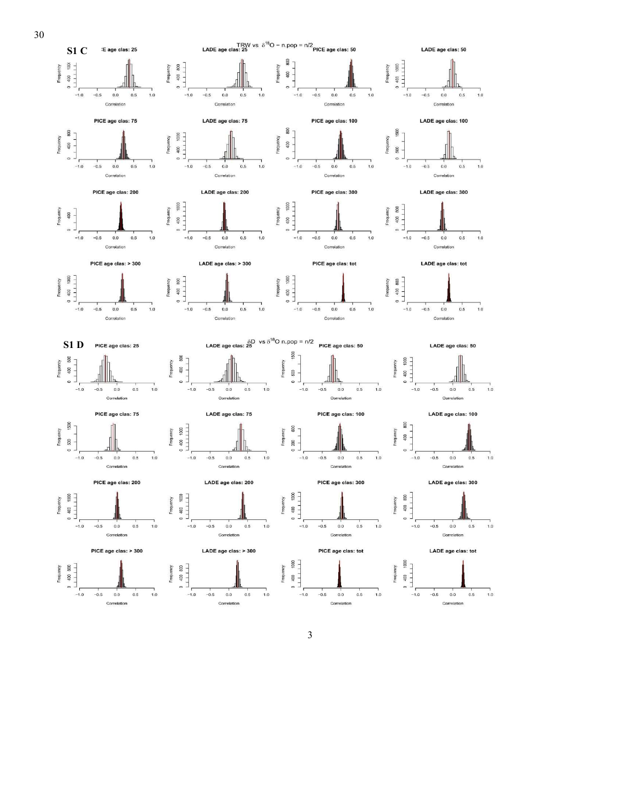

 $\mathfrak{Z}$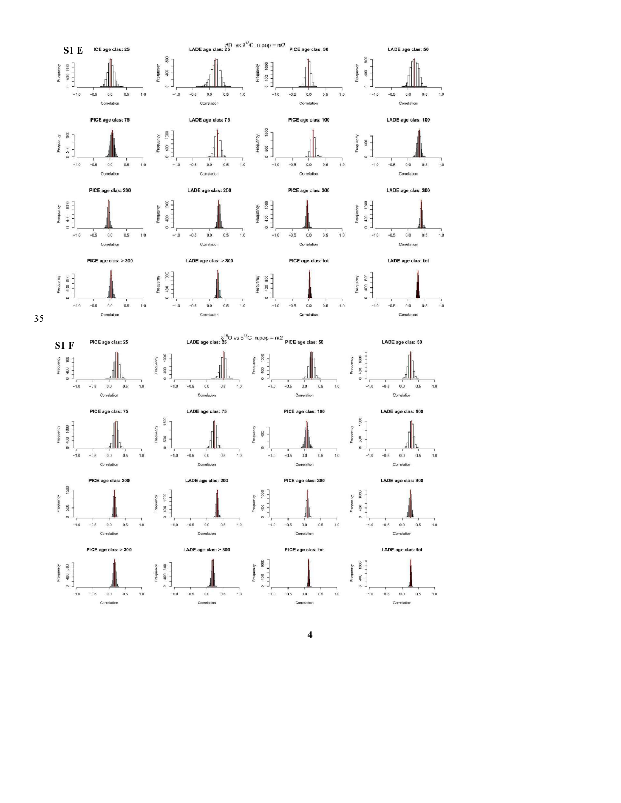